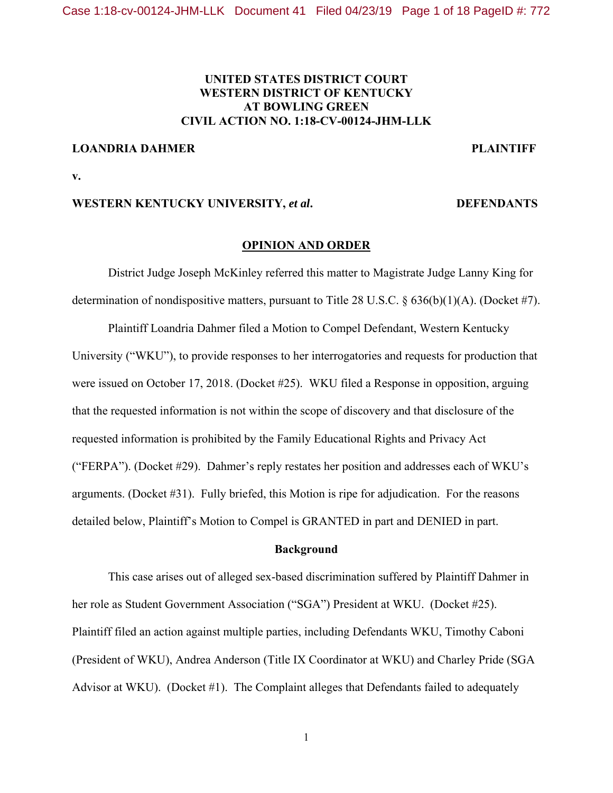## **UNITED STATES DISTRICT COURT WESTERN DISTRICT OF KENTUCKY AT BOWLING GREEN CIVIL ACTION NO. 1:18-CV-00124-JHM-LLK**

### **LOANDRIA DAHMER PLAINTIFF**

**v.** 

#### **WESTERN KENTUCKY UNIVERSITY,** *et al***. DEFENDANTS**

## **OPINION AND ORDER**

District Judge Joseph McKinley referred this matter to Magistrate Judge Lanny King for determination of nondispositive matters, pursuant to Title 28 U.S.C. § 636(b)(1)(A). (Docket #7).

 Plaintiff Loandria Dahmer filed a Motion to Compel Defendant, Western Kentucky University ("WKU"), to provide responses to her interrogatories and requests for production that were issued on October 17, 2018. (Docket #25). WKU filed a Response in opposition, arguing that the requested information is not within the scope of discovery and that disclosure of the requested information is prohibited by the Family Educational Rights and Privacy Act ("FERPA"). (Docket #29). Dahmer's reply restates her position and addresses each of WKU's arguments. (Docket #31). Fully briefed, this Motion is ripe for adjudication. For the reasons detailed below, Plaintiff's Motion to Compel is GRANTED in part and DENIED in part.

#### **Background**

This case arises out of alleged sex-based discrimination suffered by Plaintiff Dahmer in her role as Student Government Association ("SGA") President at WKU. (Docket #25). Plaintiff filed an action against multiple parties, including Defendants WKU, Timothy Caboni (President of WKU), Andrea Anderson (Title IX Coordinator at WKU) and Charley Pride (SGA Advisor at WKU). (Docket #1). The Complaint alleges that Defendants failed to adequately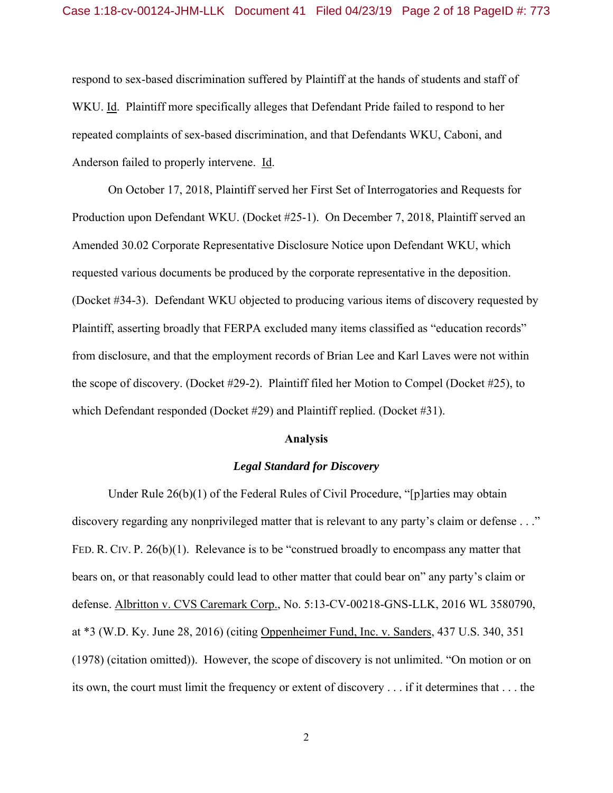respond to sex-based discrimination suffered by Plaintiff at the hands of students and staff of WKU. Id. Plaintiff more specifically alleges that Defendant Pride failed to respond to her repeated complaints of sex-based discrimination, and that Defendants WKU, Caboni, and Anderson failed to properly intervene. Id.

 On October 17, 2018, Plaintiff served her First Set of Interrogatories and Requests for Production upon Defendant WKU. (Docket #25-1). On December 7, 2018, Plaintiff served an Amended 30.02 Corporate Representative Disclosure Notice upon Defendant WKU, which requested various documents be produced by the corporate representative in the deposition. (Docket #34-3). Defendant WKU objected to producing various items of discovery requested by Plaintiff, asserting broadly that FERPA excluded many items classified as "education records" from disclosure, and that the employment records of Brian Lee and Karl Laves were not within the scope of discovery. (Docket #29-2). Plaintiff filed her Motion to Compel (Docket #25), to which Defendant responded (Docket #29) and Plaintiff replied. (Docket #31).

#### **Analysis**

### *Legal Standard for Discovery*

 Under Rule 26(b)(1) of the Federal Rules of Civil Procedure, "[p]arties may obtain discovery regarding any nonprivileged matter that is relevant to any party's claim or defense . . ." FED. R. CIV. P. 26(b)(1). Relevance is to be "construed broadly to encompass any matter that bears on, or that reasonably could lead to other matter that could bear on" any party's claim or defense. Albritton v. CVS Caremark Corp., No. 5:13-CV-00218-GNS-LLK, 2016 WL 3580790, at \*3 (W.D. Ky. June 28, 2016) (citing Oppenheimer Fund, Inc. v. Sanders, 437 U.S. 340, 351 (1978) (citation omitted)). However, the scope of discovery is not unlimited. "On motion or on its own, the court must limit the frequency or extent of discovery . . . if it determines that . . . the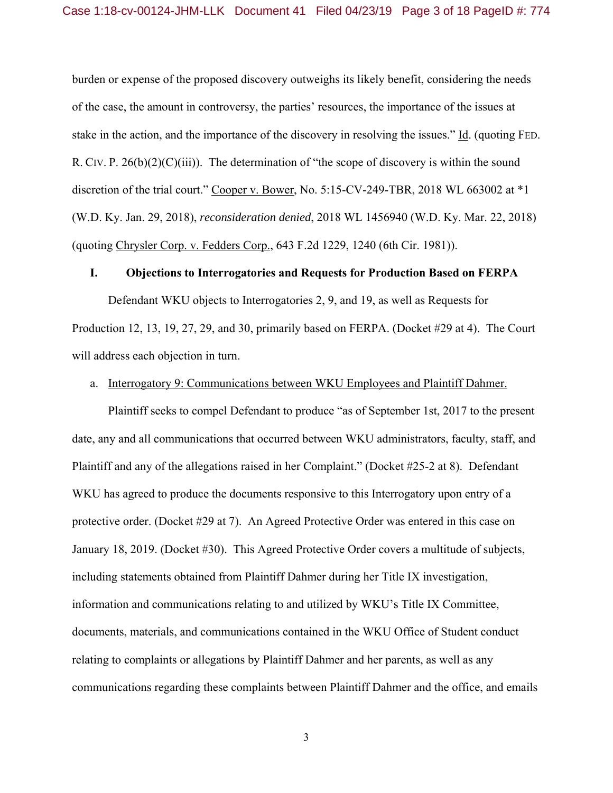burden or expense of the proposed discovery outweighs its likely benefit, considering the needs of the case, the amount in controversy, the parties' resources, the importance of the issues at stake in the action, and the importance of the discovery in resolving the issues." Id. (quoting FED. R. CIV. P.  $26(b)(2)(C)(iii)$ . The determination of "the scope of discovery is within the sound discretion of the trial court." Cooper v. Bower, No. 5:15-CV-249-TBR, 2018 WL 663002 at \*1 (W.D. Ky. Jan. 29, 2018), *reconsideration denied*, 2018 WL 1456940 (W.D. Ky. Mar. 22, 2018) (quoting Chrysler Corp. v. Fedders Corp., 643 F.2d 1229, 1240 (6th Cir. 1981)).

### **I. Objections to Interrogatories and Requests for Production Based on FERPA**

Defendant WKU objects to Interrogatories 2, 9, and 19, as well as Requests for Production 12, 13, 19, 27, 29, and 30, primarily based on FERPA. (Docket #29 at 4). The Court will address each objection in turn.

### a. Interrogatory 9: Communications between WKU Employees and Plaintiff Dahmer.

Plaintiff seeks to compel Defendant to produce "as of September 1st, 2017 to the present date, any and all communications that occurred between WKU administrators, faculty, staff, and Plaintiff and any of the allegations raised in her Complaint." (Docket #25-2 at 8). Defendant WKU has agreed to produce the documents responsive to this Interrogatory upon entry of a protective order. (Docket #29 at 7). An Agreed Protective Order was entered in this case on January 18, 2019. (Docket #30). This Agreed Protective Order covers a multitude of subjects, including statements obtained from Plaintiff Dahmer during her Title IX investigation, information and communications relating to and utilized by WKU's Title IX Committee, documents, materials, and communications contained in the WKU Office of Student conduct relating to complaints or allegations by Plaintiff Dahmer and her parents, as well as any communications regarding these complaints between Plaintiff Dahmer and the office, and emails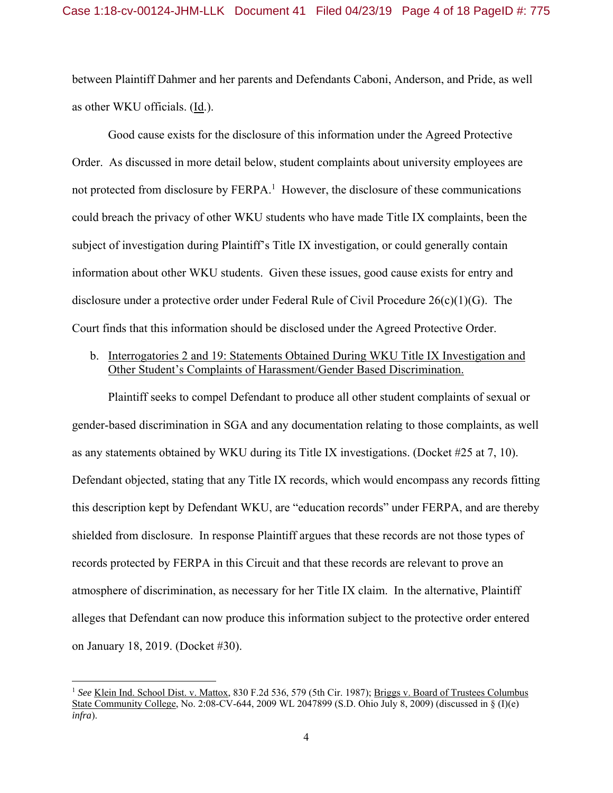between Plaintiff Dahmer and her parents and Defendants Caboni, Anderson, and Pride, as well as other WKU officials. (Id.).

Good cause exists for the disclosure of this information under the Agreed Protective Order. As discussed in more detail below, student complaints about university employees are not protected from disclosure by  $FERPA$ .<sup>1</sup> However, the disclosure of these communications could breach the privacy of other WKU students who have made Title IX complaints, been the subject of investigation during Plaintiff's Title IX investigation, or could generally contain information about other WKU students. Given these issues, good cause exists for entry and disclosure under a protective order under Federal Rule of Civil Procedure 26(c)(1)(G). The Court finds that this information should be disclosed under the Agreed Protective Order.

## b. Interrogatories 2 and 19: Statements Obtained During WKU Title IX Investigation and Other Student's Complaints of Harassment/Gender Based Discrimination.

Plaintiff seeks to compel Defendant to produce all other student complaints of sexual or gender-based discrimination in SGA and any documentation relating to those complaints, as well as any statements obtained by WKU during its Title IX investigations. (Docket #25 at 7, 10). Defendant objected, stating that any Title IX records, which would encompass any records fitting this description kept by Defendant WKU, are "education records" under FERPA, and are thereby shielded from disclosure. In response Plaintiff argues that these records are not those types of records protected by FERPA in this Circuit and that these records are relevant to prove an atmosphere of discrimination, as necessary for her Title IX claim. In the alternative, Plaintiff alleges that Defendant can now produce this information subject to the protective order entered on January 18, 2019. (Docket #30).

<sup>1</sup> *See* Klein Ind. School Dist. v. Mattox, 830 F.2d 536, 579 (5th Cir. 1987); Briggs v. Board of Trustees Columbus State Community College, No. 2:08-CV-644, 2009 WL 2047899 (S.D. Ohio July 8, 2009) (discussed in § (I)(e) *infra*).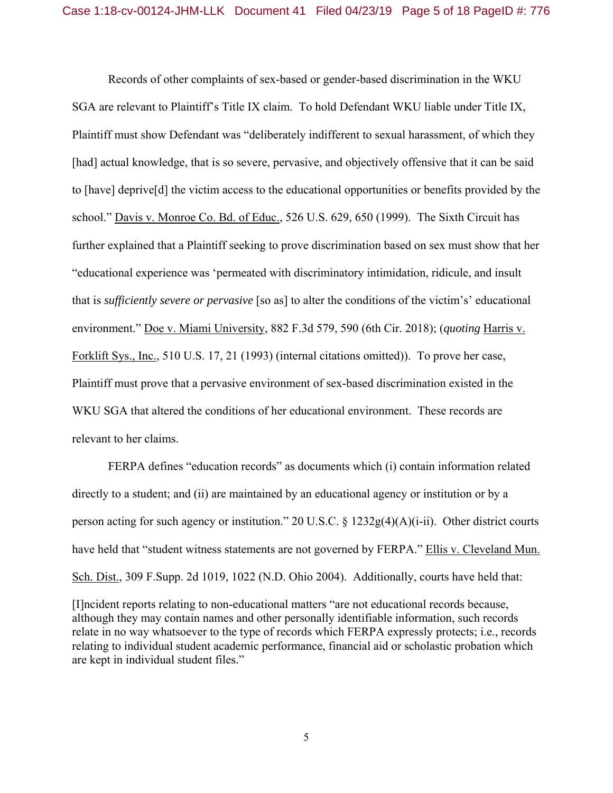Records of other complaints of sex-based or gender-based discrimination in the WKU SGA are relevant to Plaintiff's Title IX claim. To hold Defendant WKU liable under Title IX, Plaintiff must show Defendant was "deliberately indifferent to sexual harassment, of which they [had] actual knowledge, that is so severe, pervasive, and objectively offensive that it can be said to [have] deprive[d] the victim access to the educational opportunities or benefits provided by the school." Davis v. Monroe Co. Bd. of Educ., 526 U.S. 629, 650 (1999). The Sixth Circuit has further explained that a Plaintiff seeking to prove discrimination based on sex must show that her "educational experience was 'permeated with discriminatory intimidation, ridicule, and insult that is *sufficiently severe or pervasive* [so as] to alter the conditions of the victim's' educational environment." Doe v. Miami University, 882 F.3d 579, 590 (6th Cir. 2018); (*quoting* Harris v. Forklift Sys., Inc., 510 U.S. 17, 21 (1993) (internal citations omitted)). To prove her case, Plaintiff must prove that a pervasive environment of sex-based discrimination existed in the WKU SGA that altered the conditions of her educational environment. These records are relevant to her claims.

FERPA defines "education records" as documents which (i) contain information related directly to a student; and (ii) are maintained by an educational agency or institution or by a person acting for such agency or institution." 20 U.S.C. § 1232g(4)(A)(i-ii). Other district courts have held that "student witness statements are not governed by FERPA." Ellis v. Cleveland Mun. Sch. Dist., 309 F.Supp. 2d 1019, 1022 (N.D. Ohio 2004). Additionally, courts have held that:

[I]ncident reports relating to non-educational matters "are not educational records because, although they may contain names and other personally identifiable information, such records relate in no way whatsoever to the type of records which FERPA expressly protects; i.e., records relating to individual student academic performance, financial aid or scholastic probation which are kept in individual student files."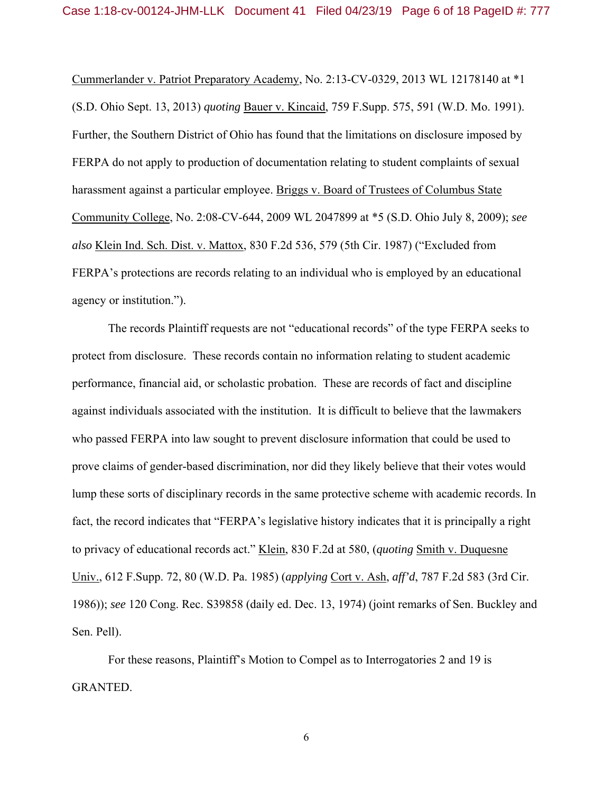Cummerlander v. Patriot Preparatory Academy, No. 2:13-CV-0329, 2013 WL 12178140 at \*1 (S.D. Ohio Sept. 13, 2013) *quoting* Bauer v. Kincaid, 759 F.Supp. 575, 591 (W.D. Mo. 1991). Further, the Southern District of Ohio has found that the limitations on disclosure imposed by FERPA do not apply to production of documentation relating to student complaints of sexual harassment against a particular employee. Briggs v. Board of Trustees of Columbus State Community College, No. 2:08-CV-644, 2009 WL 2047899 at \*5 (S.D. Ohio July 8, 2009); *see also* Klein Ind. Sch. Dist. v. Mattox, 830 F.2d 536, 579 (5th Cir. 1987) ("Excluded from FERPA's protections are records relating to an individual who is employed by an educational agency or institution.").

 The records Plaintiff requests are not "educational records" of the type FERPA seeks to protect from disclosure. These records contain no information relating to student academic performance, financial aid, or scholastic probation. These are records of fact and discipline against individuals associated with the institution. It is difficult to believe that the lawmakers who passed FERPA into law sought to prevent disclosure information that could be used to prove claims of gender-based discrimination, nor did they likely believe that their votes would lump these sorts of disciplinary records in the same protective scheme with academic records. In fact, the record indicates that "FERPA's legislative history indicates that it is principally a right to privacy of educational records act." Klein, 830 F.2d at 580, (*quoting* Smith v. Duquesne Univ., 612 F.Supp. 72, 80 (W.D. Pa. 1985) (*applying* Cort v. Ash, *aff'd*, 787 F.2d 583 (3rd Cir. 1986)); *see* 120 Cong. Rec. S39858 (daily ed. Dec. 13, 1974) (joint remarks of Sen. Buckley and Sen. Pell).

 For these reasons, Plaintiff's Motion to Compel as to Interrogatories 2 and 19 is GRANTED.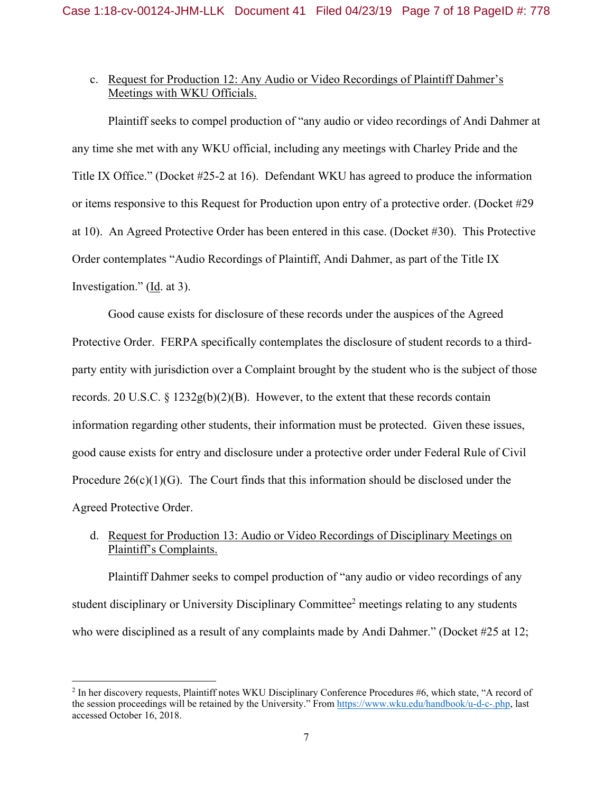## c. Request for Production 12: Any Audio or Video Recordings of Plaintiff Dahmer's Meetings with WKU Officials.

Plaintiff seeks to compel production of "any audio or video recordings of Andi Dahmer at any time she met with any WKU official, including any meetings with Charley Pride and the Title IX Office." (Docket #25-2 at 16). Defendant WKU has agreed to produce the information or items responsive to this Request for Production upon entry of a protective order. (Docket #29 at 10). An Agreed Protective Order has been entered in this case. (Docket #30). This Protective Order contemplates "Audio Recordings of Plaintiff, Andi Dahmer, as part of the Title IX Investigation." (Id. at 3).

Good cause exists for disclosure of these records under the auspices of the Agreed Protective Order. FERPA specifically contemplates the disclosure of student records to a thirdparty entity with jurisdiction over a Complaint brought by the student who is the subject of those records. 20 U.S.C. §  $1232g(b)(2)(B)$ . However, to the extent that these records contain information regarding other students, their information must be protected. Given these issues, good cause exists for entry and disclosure under a protective order under Federal Rule of Civil Procedure  $26(c)(1)(G)$ . The Court finds that this information should be disclosed under the Agreed Protective Order.

# d. Request for Production 13: Audio or Video Recordings of Disciplinary Meetings on Plaintiff's Complaints.

Plaintiff Dahmer seeks to compel production of "any audio or video recordings of any student disciplinary or University Disciplinary Committee<sup>2</sup> meetings relating to any students who were disciplined as a result of any complaints made by Andi Dahmer." (Docket #25 at 12;

<sup>&</sup>lt;sup>2</sup> In her discovery requests, Plaintiff notes WKU Disciplinary Conference Procedures #6, which state, "A record of the session proceedings will be retained by the University." From https://www.wku.edu/handbook/u-d-c-.php, last accessed October 16, 2018.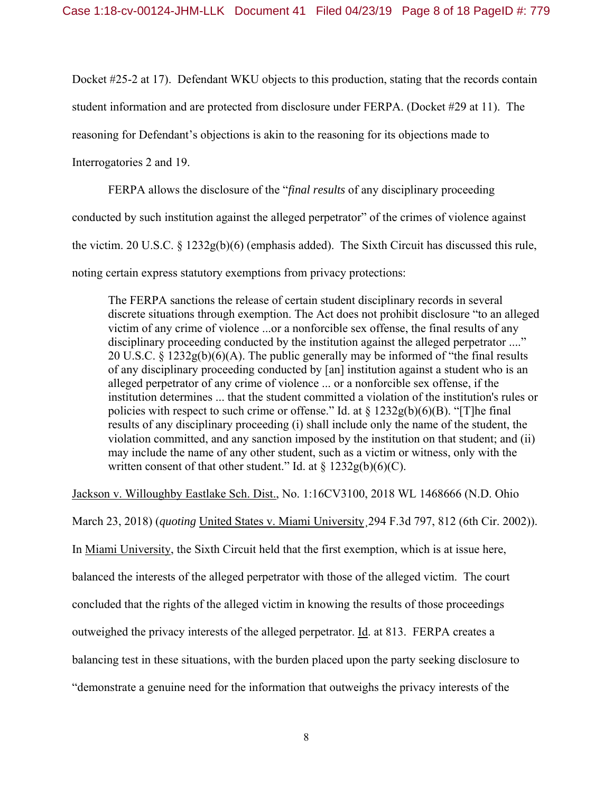Docket #25-2 at 17). Defendant WKU objects to this production, stating that the records contain

student information and are protected from disclosure under FERPA. (Docket #29 at 11). The

reasoning for Defendant's objections is akin to the reasoning for its objections made to

Interrogatories 2 and 19.

FERPA allows the disclosure of the "*final results* of any disciplinary proceeding

conducted by such institution against the alleged perpetrator" of the crimes of violence against

the victim. 20 U.S.C. § 1232g(b)(6) (emphasis added). The Sixth Circuit has discussed this rule,

noting certain express statutory exemptions from privacy protections:

The FERPA sanctions the release of certain student disciplinary records in several discrete situations through exemption. The Act does not prohibit disclosure "to an alleged victim of any crime of violence ...or a nonforcible sex offense, the final results of any disciplinary proceeding conducted by the institution against the alleged perpetrator ...." 20 U.S.C.  $\S$  1232g(b)(6)(A). The public generally may be informed of "the final results of any disciplinary proceeding conducted by [an] institution against a student who is an alleged perpetrator of any crime of violence ... or a nonforcible sex offense, if the institution determines ... that the student committed a violation of the institution's rules or policies with respect to such crime or offense." Id. at  $\S 1232g(b)(6)(B)$ . "[T]he final results of any disciplinary proceeding (i) shall include only the name of the student, the violation committed, and any sanction imposed by the institution on that student; and (ii) may include the name of any other student, such as a victim or witness, only with the written consent of that other student." Id. at  $\S 1232g(b)(6)(C)$ .

Jackson v. Willoughby Eastlake Sch. Dist., No. 1:16CV3100, 2018 WL 1468666 (N.D. Ohio

March 23, 2018) (*quoting* United States v. Miami University¸294 F.3d 797, 812 (6th Cir. 2002)).

In Miami University, the Sixth Circuit held that the first exemption, which is at issue here,

balanced the interests of the alleged perpetrator with those of the alleged victim. The court

concluded that the rights of the alleged victim in knowing the results of those proceedings

outweighed the privacy interests of the alleged perpetrator. Id. at 813. FERPA creates a

balancing test in these situations, with the burden placed upon the party seeking disclosure to

"demonstrate a genuine need for the information that outweighs the privacy interests of the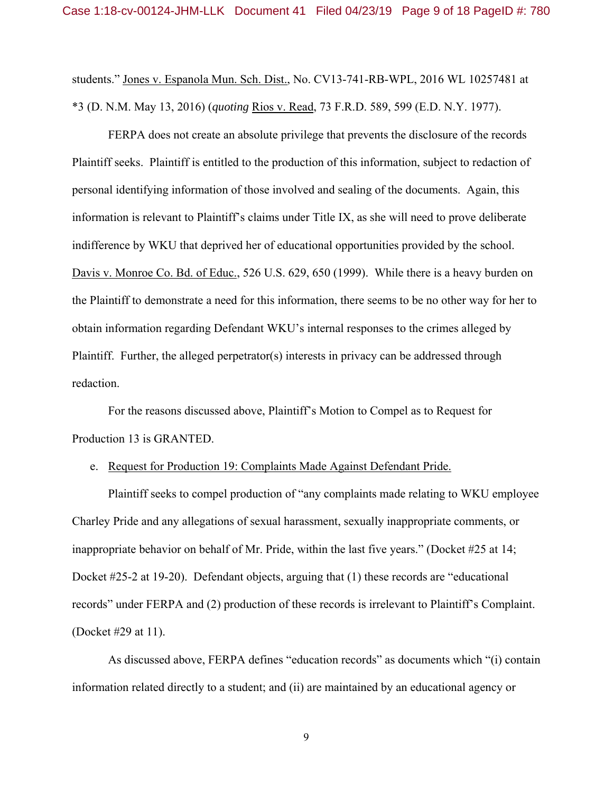students." Jones v. Espanola Mun. Sch. Dist., No. CV13-741-RB-WPL, 2016 WL 10257481 at \*3 (D. N.M. May 13, 2016) (*quoting* Rios v. Read, 73 F.R.D. 589, 599 (E.D. N.Y. 1977).

 FERPA does not create an absolute privilege that prevents the disclosure of the records Plaintiff seeks. Plaintiff is entitled to the production of this information, subject to redaction of personal identifying information of those involved and sealing of the documents. Again, this information is relevant to Plaintiff's claims under Title IX, as she will need to prove deliberate indifference by WKU that deprived her of educational opportunities provided by the school. Davis v. Monroe Co. Bd. of Educ., 526 U.S. 629, 650 (1999). While there is a heavy burden on the Plaintiff to demonstrate a need for this information, there seems to be no other way for her to obtain information regarding Defendant WKU's internal responses to the crimes alleged by Plaintiff. Further, the alleged perpetrator(s) interests in privacy can be addressed through redaction.

 For the reasons discussed above, Plaintiff's Motion to Compel as to Request for Production 13 is GRANTED.

### e. Request for Production 19: Complaints Made Against Defendant Pride.

Plaintiff seeks to compel production of "any complaints made relating to WKU employee Charley Pride and any allegations of sexual harassment, sexually inappropriate comments, or inappropriate behavior on behalf of Mr. Pride, within the last five years." (Docket #25 at 14; Docket #25-2 at 19-20). Defendant objects, arguing that (1) these records are "educational records" under FERPA and (2) production of these records is irrelevant to Plaintiff's Complaint. (Docket #29 at 11).

As discussed above, FERPA defines "education records" as documents which "(i) contain information related directly to a student; and (ii) are maintained by an educational agency or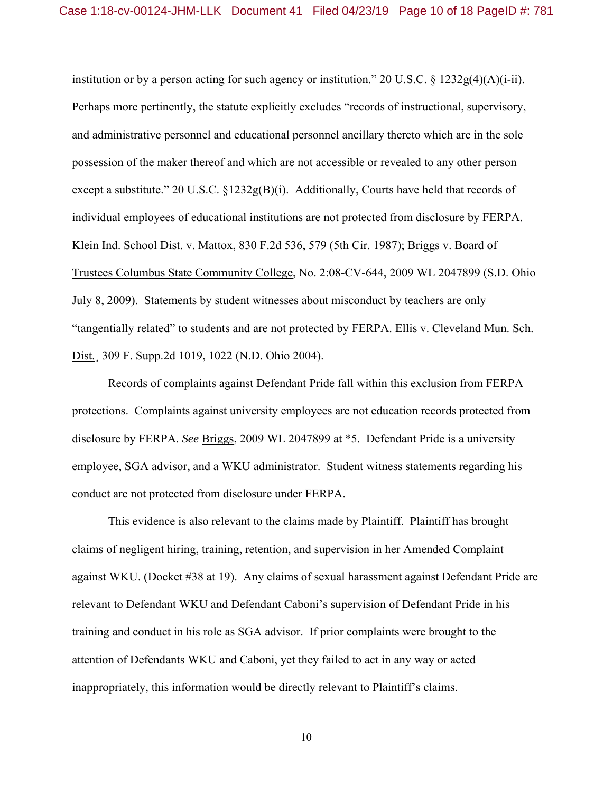institution or by a person acting for such agency or institution." 20 U.S.C. § 1232g(4)(A)(i-ii). Perhaps more pertinently, the statute explicitly excludes "records of instructional, supervisory, and administrative personnel and educational personnel ancillary thereto which are in the sole possession of the maker thereof and which are not accessible or revealed to any other person except a substitute." 20 U.S.C. §1232g(B)(i). Additionally, Courts have held that records of individual employees of educational institutions are not protected from disclosure by FERPA. Klein Ind. School Dist. v. Mattox, 830 F.2d 536, 579 (5th Cir. 1987); Briggs v. Board of Trustees Columbus State Community College, No. 2:08-CV-644, 2009 WL 2047899 (S.D. Ohio July 8, 2009). Statements by student witnesses about misconduct by teachers are only "tangentially related" to students and are not protected by FERPA. Ellis v. Cleveland Mun. Sch. Dist., 309 F. Supp.2d 1019, 1022 (N.D. Ohio 2004).

Records of complaints against Defendant Pride fall within this exclusion from FERPA protections. Complaints against university employees are not education records protected from disclosure by FERPA. *See* Briggs, 2009 WL 2047899 at \*5. Defendant Pride is a university employee, SGA advisor, and a WKU administrator. Student witness statements regarding his conduct are not protected from disclosure under FERPA.

This evidence is also relevant to the claims made by Plaintiff. Plaintiff has brought claims of negligent hiring, training, retention, and supervision in her Amended Complaint against WKU. (Docket #38 at 19). Any claims of sexual harassment against Defendant Pride are relevant to Defendant WKU and Defendant Caboni's supervision of Defendant Pride in his training and conduct in his role as SGA advisor. If prior complaints were brought to the attention of Defendants WKU and Caboni, yet they failed to act in any way or acted inappropriately, this information would be directly relevant to Plaintiff's claims.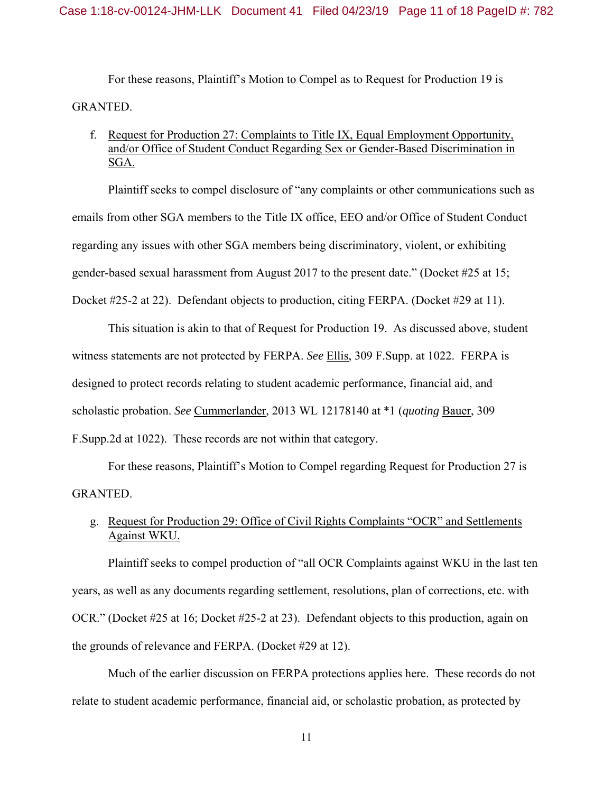For these reasons, Plaintiff's Motion to Compel as to Request for Production 19 is GRANTED.

# f. Request for Production 27: Complaints to Title IX, Equal Employment Opportunity, and/or Office of Student Conduct Regarding Sex or Gender-Based Discrimination in SGA.

Plaintiff seeks to compel disclosure of "any complaints or other communications such as emails from other SGA members to the Title IX office, EEO and/or Office of Student Conduct regarding any issues with other SGA members being discriminatory, violent, or exhibiting gender-based sexual harassment from August 2017 to the present date." (Docket #25 at 15; Docket #25-2 at 22). Defendant objects to production, citing FERPA. (Docket #29 at 11).

This situation is akin to that of Request for Production 19. As discussed above, student witness statements are not protected by FERPA. *See* Ellis, 309 F.Supp. at 1022. FERPA is designed to protect records relating to student academic performance, financial aid, and scholastic probation. *See* Cummerlander, 2013 WL 12178140 at \*1 (*quoting* Bauer, 309 F.Supp.2d at 1022). These records are not within that category.

For these reasons, Plaintiff's Motion to Compel regarding Request for Production 27 is GRANTED.

# g. Request for Production 29: Office of Civil Rights Complaints "OCR" and Settlements Against WKU.

Plaintiff seeks to compel production of "all OCR Complaints against WKU in the last ten years, as well as any documents regarding settlement, resolutions, plan of corrections, etc. with OCR." (Docket #25 at 16; Docket #25-2 at 23). Defendant objects to this production, again on the grounds of relevance and FERPA. (Docket #29 at 12).

 Much of the earlier discussion on FERPA protections applies here. These records do not relate to student academic performance, financial aid, or scholastic probation, as protected by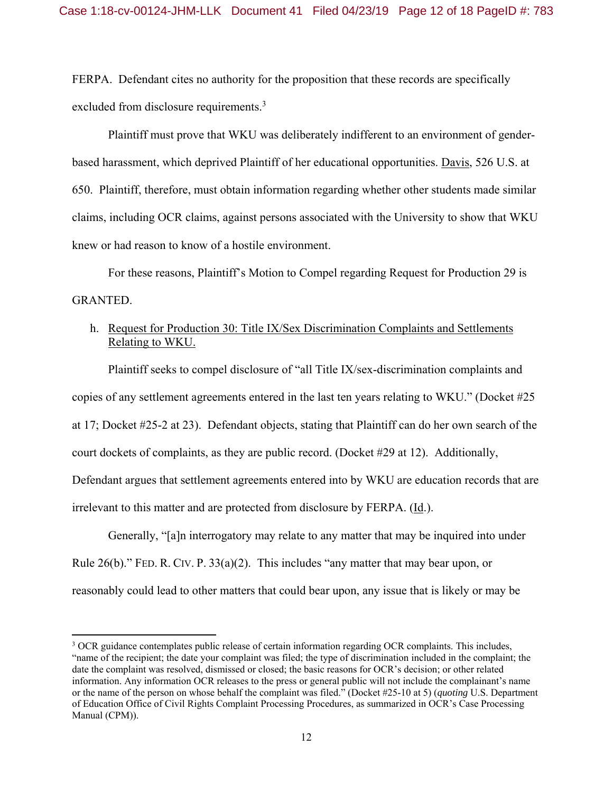FERPA. Defendant cites no authority for the proposition that these records are specifically excluded from disclosure requirements.<sup>3</sup>

Plaintiff must prove that WKU was deliberately indifferent to an environment of genderbased harassment, which deprived Plaintiff of her educational opportunities. Davis, 526 U.S. at 650. Plaintiff, therefore, must obtain information regarding whether other students made similar claims, including OCR claims, against persons associated with the University to show that WKU knew or had reason to know of a hostile environment.

For these reasons, Plaintiff's Motion to Compel regarding Request for Production 29 is GRANTED.

# h. Request for Production 30: Title IX/Sex Discrimination Complaints and Settlements Relating to WKU.

Plaintiff seeks to compel disclosure of "all Title IX/sex-discrimination complaints and copies of any settlement agreements entered in the last ten years relating to WKU." (Docket #25 at 17; Docket #25-2 at 23). Defendant objects, stating that Plaintiff can do her own search of the court dockets of complaints, as they are public record. (Docket #29 at 12). Additionally, Defendant argues that settlement agreements entered into by WKU are education records that are irrelevant to this matter and are protected from disclosure by FERPA. (Id.).

Generally, "[a]n interrogatory may relate to any matter that may be inquired into under Rule 26(b)." FED. R. CIV. P. 33(a)(2). This includes "any matter that may bear upon, or reasonably could lead to other matters that could bear upon, any issue that is likely or may be

<sup>&</sup>lt;sup>3</sup> OCR guidance contemplates public release of certain information regarding OCR complaints. This includes, "name of the recipient; the date your complaint was filed; the type of discrimination included in the complaint; the date the complaint was resolved, dismissed or closed; the basic reasons for OCR's decision; or other related information. Any information OCR releases to the press or general public will not include the complainant's name or the name of the person on whose behalf the complaint was filed." (Docket #25-10 at 5) (*quoting* U.S. Department of Education Office of Civil Rights Complaint Processing Procedures, as summarized in OCR's Case Processing Manual (CPM)).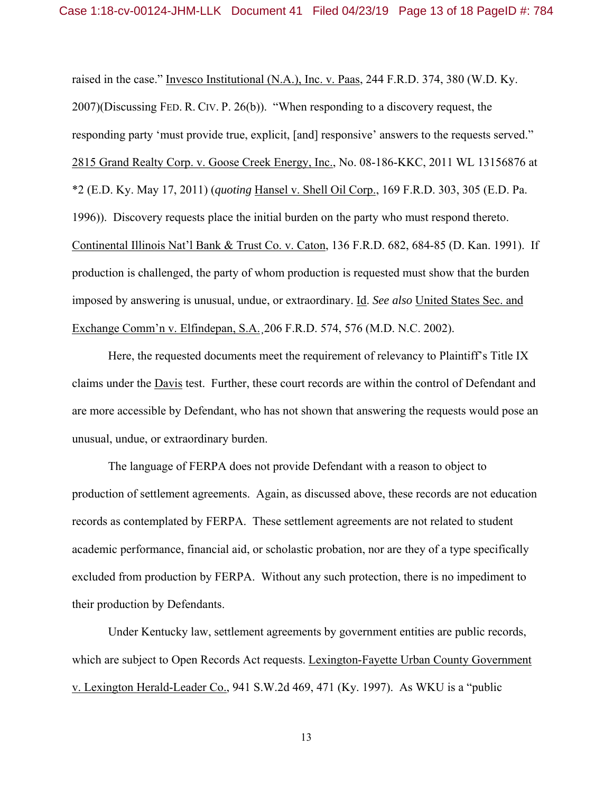raised in the case." Invesco Institutional (N.A.), Inc. v. Paas, 244 F.R.D. 374, 380 (W.D. Ky. 2007)(Discussing FED. R. CIV. P. 26(b)). "When responding to a discovery request, the responding party 'must provide true, explicit, [and] responsive' answers to the requests served." 2815 Grand Realty Corp. v. Goose Creek Energy, Inc., No. 08-186-KKC, 2011 WL 13156876 at \*2 (E.D. Ky. May 17, 2011) (*quoting* Hansel v. Shell Oil Corp., 169 F.R.D. 303, 305 (E.D. Pa. 1996)). Discovery requests place the initial burden on the party who must respond thereto. Continental Illinois Nat'l Bank & Trust Co. v. Caton, 136 F.R.D. 682, 684-85 (D. Kan. 1991). If production is challenged, the party of whom production is requested must show that the burden imposed by answering is unusual, undue, or extraordinary. Id. *See also* United States Sec. and Exchange Comm'n v. Elfindepan, S.A.¸206 F.R.D. 574, 576 (M.D. N.C. 2002).

Here, the requested documents meet the requirement of relevancy to Plaintiff's Title IX claims under the Davis test. Further, these court records are within the control of Defendant and are more accessible by Defendant, who has not shown that answering the requests would pose an unusual, undue, or extraordinary burden.

The language of FERPA does not provide Defendant with a reason to object to production of settlement agreements. Again, as discussed above, these records are not education records as contemplated by FERPA. These settlement agreements are not related to student academic performance, financial aid, or scholastic probation, nor are they of a type specifically excluded from production by FERPA. Without any such protection, there is no impediment to their production by Defendants.

Under Kentucky law, settlement agreements by government entities are public records, which are subject to Open Records Act requests. Lexington-Fayette Urban County Government v. Lexington Herald-Leader Co., 941 S.W.2d 469, 471 (Ky. 1997). As WKU is a "public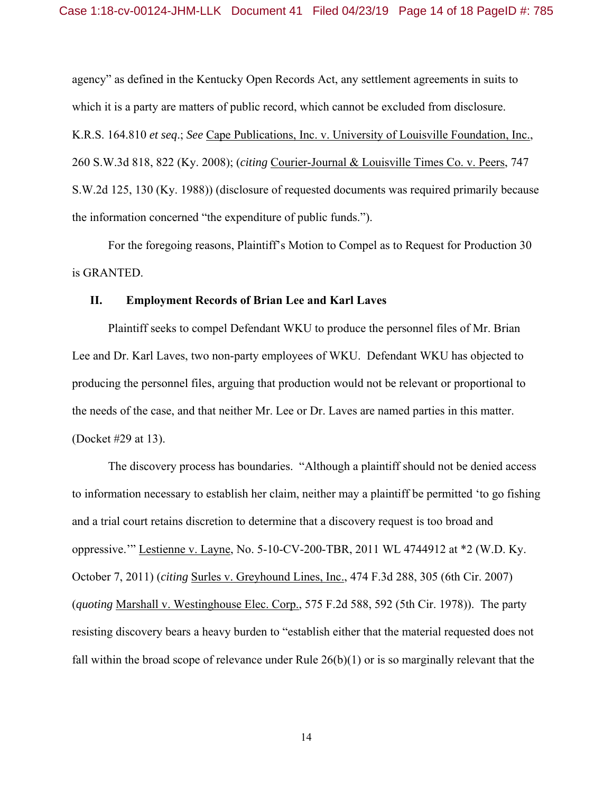agency" as defined in the Kentucky Open Records Act, any settlement agreements in suits to which it is a party are matters of public record, which cannot be excluded from disclosure. K.R.S. 164.810 *et seq*.; *See* Cape Publications, Inc. v. University of Louisville Foundation, Inc., 260 S.W.3d 818, 822 (Ky. 2008); (*citing* Courier-Journal & Louisville Times Co. v. Peers, 747 S.W.2d 125, 130 (Ky. 1988)) (disclosure of requested documents was required primarily because the information concerned "the expenditure of public funds.").

For the foregoing reasons, Plaintiff's Motion to Compel as to Request for Production 30 is GRANTED.

#### **II. Employment Records of Brian Lee and Karl Laves**

Plaintiff seeks to compel Defendant WKU to produce the personnel files of Mr. Brian Lee and Dr. Karl Laves, two non-party employees of WKU. Defendant WKU has objected to producing the personnel files, arguing that production would not be relevant or proportional to the needs of the case, and that neither Mr. Lee or Dr. Laves are named parties in this matter. (Docket #29 at 13).

The discovery process has boundaries. "Although a plaintiff should not be denied access to information necessary to establish her claim, neither may a plaintiff be permitted 'to go fishing and a trial court retains discretion to determine that a discovery request is too broad and oppressive.'" Lestienne v. Layne, No. 5-10-CV-200-TBR, 2011 WL 4744912 at \*2 (W.D. Ky. October 7, 2011) (*citing* Surles v. Greyhound Lines, Inc., 474 F.3d 288, 305 (6th Cir. 2007) (*quoting* Marshall v. Westinghouse Elec. Corp., 575 F.2d 588, 592 (5th Cir. 1978)). The party resisting discovery bears a heavy burden to "establish either that the material requested does not fall within the broad scope of relevance under Rule 26(b)(1) or is so marginally relevant that the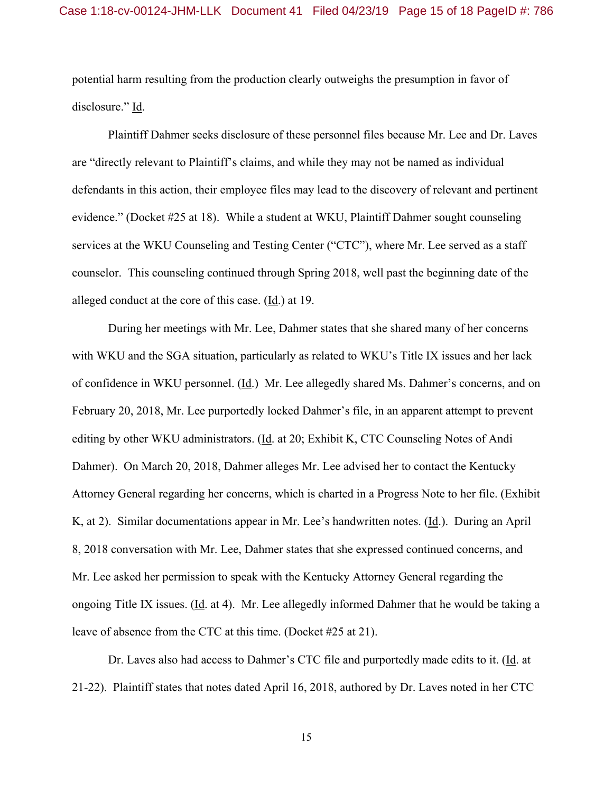potential harm resulting from the production clearly outweighs the presumption in favor of disclosure." Id.

Plaintiff Dahmer seeks disclosure of these personnel files because Mr. Lee and Dr. Laves are "directly relevant to Plaintiff's claims, and while they may not be named as individual defendants in this action, their employee files may lead to the discovery of relevant and pertinent evidence." (Docket #25 at 18). While a student at WKU, Plaintiff Dahmer sought counseling services at the WKU Counseling and Testing Center ("CTC"), where Mr. Lee served as a staff counselor. This counseling continued through Spring 2018, well past the beginning date of the alleged conduct at the core of this case. (Id.) at 19.

During her meetings with Mr. Lee, Dahmer states that she shared many of her concerns with WKU and the SGA situation, particularly as related to WKU's Title IX issues and her lack of confidence in WKU personnel. (Id.) Mr. Lee allegedly shared Ms. Dahmer's concerns, and on February 20, 2018, Mr. Lee purportedly locked Dahmer's file, in an apparent attempt to prevent editing by other WKU administrators. (Id. at 20; Exhibit K, CTC Counseling Notes of Andi Dahmer). On March 20, 2018, Dahmer alleges Mr. Lee advised her to contact the Kentucky Attorney General regarding her concerns, which is charted in a Progress Note to her file. (Exhibit K, at 2). Similar documentations appear in Mr. Lee's handwritten notes. (Id.). During an April 8, 2018 conversation with Mr. Lee, Dahmer states that she expressed continued concerns, and Mr. Lee asked her permission to speak with the Kentucky Attorney General regarding the ongoing Title IX issues. (Id. at 4). Mr. Lee allegedly informed Dahmer that he would be taking a leave of absence from the CTC at this time. (Docket #25 at 21).

Dr. Laves also had access to Dahmer's CTC file and purportedly made edits to it. (Id. at 21-22). Plaintiff states that notes dated April 16, 2018, authored by Dr. Laves noted in her CTC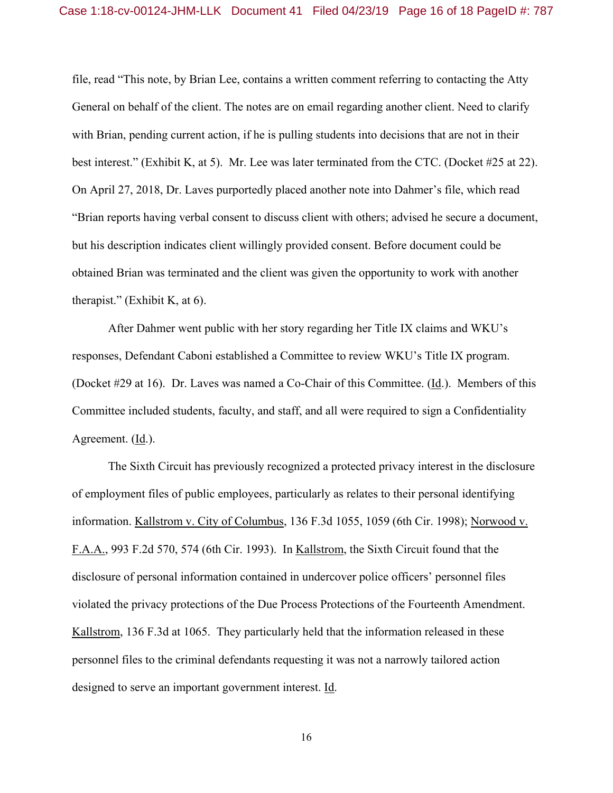file, read "This note, by Brian Lee, contains a written comment referring to contacting the Atty General on behalf of the client. The notes are on email regarding another client. Need to clarify with Brian, pending current action, if he is pulling students into decisions that are not in their best interest." (Exhibit K, at 5). Mr. Lee was later terminated from the CTC. (Docket #25 at 22). On April 27, 2018, Dr. Laves purportedly placed another note into Dahmer's file, which read "Brian reports having verbal consent to discuss client with others; advised he secure a document, but his description indicates client willingly provided consent. Before document could be obtained Brian was terminated and the client was given the opportunity to work with another therapist." (Exhibit K, at 6).

After Dahmer went public with her story regarding her Title IX claims and WKU's responses, Defendant Caboni established a Committee to review WKU's Title IX program. (Docket #29 at 16). Dr. Laves was named a Co-Chair of this Committee. (Id.). Members of this Committee included students, faculty, and staff, and all were required to sign a Confidentiality Agreement. (Id.).

 The Sixth Circuit has previously recognized a protected privacy interest in the disclosure of employment files of public employees, particularly as relates to their personal identifying information. Kallstrom v. City of Columbus, 136 F.3d 1055, 1059 (6th Cir. 1998); Norwood v. F.A.A., 993 F.2d 570, 574 (6th Cir. 1993). In Kallstrom, the Sixth Circuit found that the disclosure of personal information contained in undercover police officers' personnel files violated the privacy protections of the Due Process Protections of the Fourteenth Amendment. Kallstrom, 136 F.3d at 1065. They particularly held that the information released in these personnel files to the criminal defendants requesting it was not a narrowly tailored action designed to serve an important government interest. Id.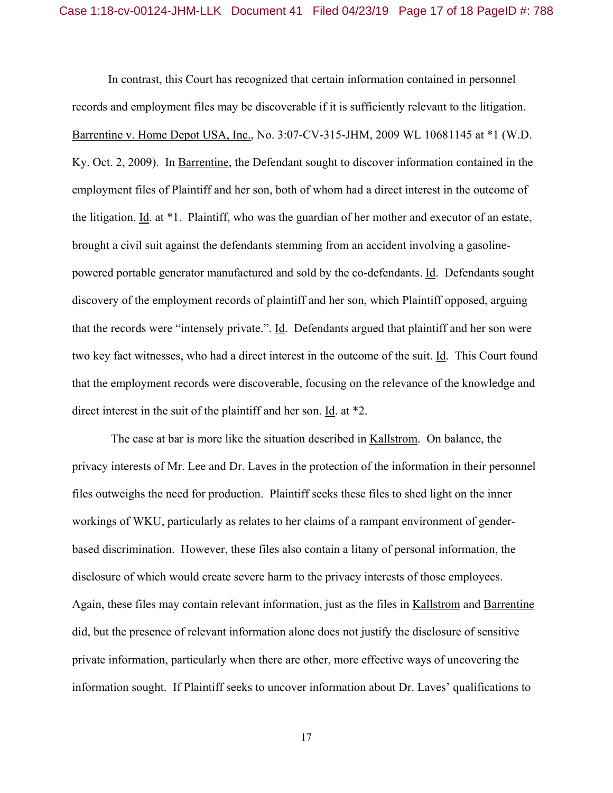In contrast, this Court has recognized that certain information contained in personnel records and employment files may be discoverable if it is sufficiently relevant to the litigation. Barrentine v. Home Depot USA, Inc., No. 3:07-CV-315-JHM, 2009 WL 10681145 at \*1 (W.D. Ky. Oct. 2, 2009). In Barrentine, the Defendant sought to discover information contained in the employment files of Plaintiff and her son, both of whom had a direct interest in the outcome of the litigation. Id. at \*1. Plaintiff, who was the guardian of her mother and executor of an estate, brought a civil suit against the defendants stemming from an accident involving a gasolinepowered portable generator manufactured and sold by the co-defendants. Id. Defendants sought discovery of the employment records of plaintiff and her son, which Plaintiff opposed, arguing that the records were "intensely private.". Id. Defendants argued that plaintiff and her son were two key fact witnesses, who had a direct interest in the outcome of the suit. Id. This Court found that the employment records were discoverable, focusing on the relevance of the knowledge and direct interest in the suit of the plaintiff and her son. Id. at \*2.

 The case at bar is more like the situation described in Kallstrom. On balance, the privacy interests of Mr. Lee and Dr. Laves in the protection of the information in their personnel files outweighs the need for production. Plaintiff seeks these files to shed light on the inner workings of WKU, particularly as relates to her claims of a rampant environment of genderbased discrimination. However, these files also contain a litany of personal information, the disclosure of which would create severe harm to the privacy interests of those employees. Again, these files may contain relevant information, just as the files in Kallstrom and Barrentine did, but the presence of relevant information alone does not justify the disclosure of sensitive private information, particularly when there are other, more effective ways of uncovering the information sought. If Plaintiff seeks to uncover information about Dr. Laves' qualifications to